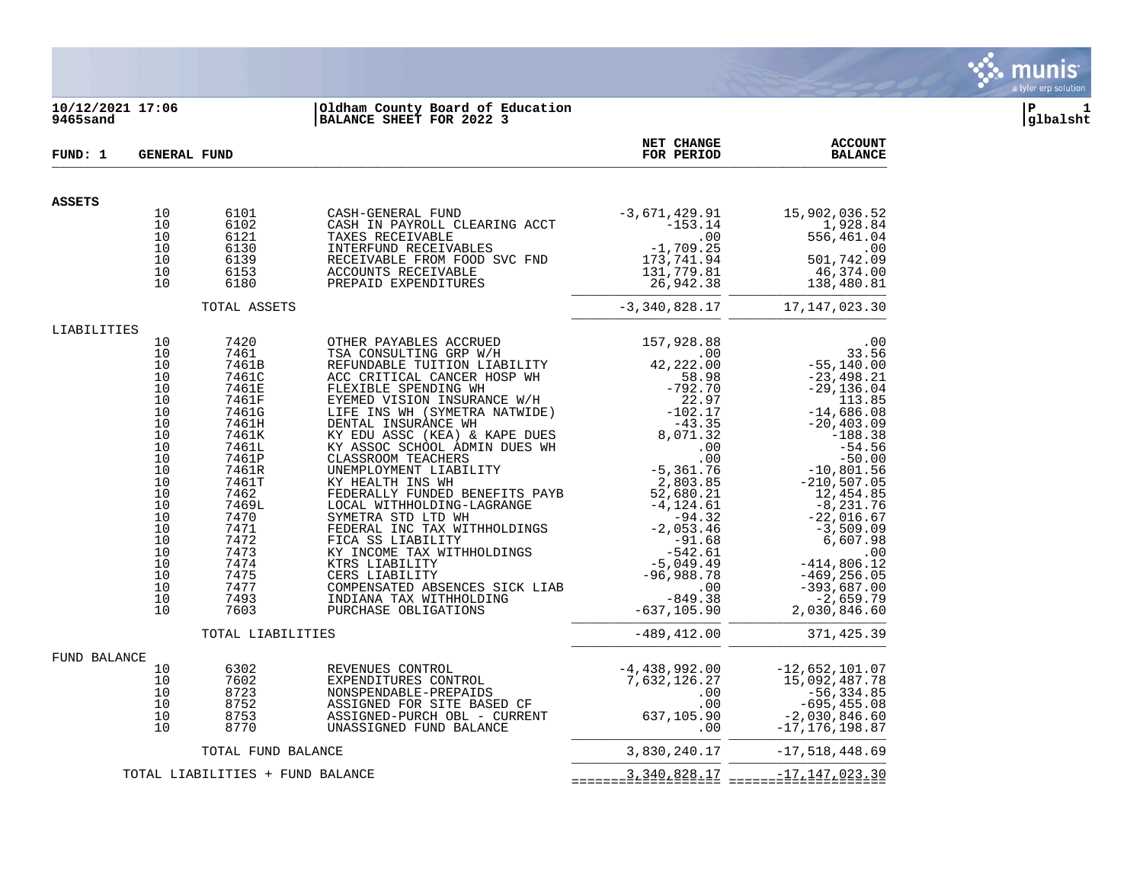

## **10/12/2021 17:06 |Oldham County Board of Education |P 1 9465sand |BALANCE SHEET FOR 2022 3 |glbalsht**

| FUND: 1       | <b>GENERAL FUND</b>                                                  |                                                                                                                     |                                                                                                                                                                                                                                                                                                                    | NET CHANGE<br>FOR PERIOD                                                                                                                                                                                                             | <b>ACCOUNT</b><br><b>BALANCE</b>                                                                                                                                                 |
|---------------|----------------------------------------------------------------------|---------------------------------------------------------------------------------------------------------------------|--------------------------------------------------------------------------------------------------------------------------------------------------------------------------------------------------------------------------------------------------------------------------------------------------------------------|--------------------------------------------------------------------------------------------------------------------------------------------------------------------------------------------------------------------------------------|----------------------------------------------------------------------------------------------------------------------------------------------------------------------------------|
| <b>ASSETS</b> |                                                                      |                                                                                                                     |                                                                                                                                                                                                                                                                                                                    |                                                                                                                                                                                                                                      |                                                                                                                                                                                  |
|               | 10<br>10<br>10<br>10                                                 | 6101<br>6102<br>6121<br>6130                                                                                        | CASH-GENERAL FUND<br>CASH IN PAYROLL CLEARING ACCT<br>TAXES RECEIVABLE<br>INTERFUND RECEIVABLES                                                                                                                                                                                                                    | -3,671,429.91<br>$-3,671,429.91$ $-153.14$ $-00$ $-1,709.25$ $173,741.94$ $131,779.81$ $26,942.38$ $-242.92$ $-242.92$ $-242.92$ $-242.92$ $-242.92$<br>.00                                                                          | 15,902,036.52<br>1,928.84<br>556,461.04                                                                                                                                          |
|               | 10<br>10<br>10                                                       | 6139<br>6153<br>6180                                                                                                | RECEIVABLE FROM FOOD SVC FND<br>ACCOUNTS RECEIVABLE<br>PREPAID EXPENDITURES                                                                                                                                                                                                                                        | 131,779.81<br>26,942.38                                                                                                                                                                                                              | $.00$<br>501,742.09<br>46,374.00<br>138,480.81                                                                                                                                   |
|               |                                                                      | TOTAL ASSETS                                                                                                        |                                                                                                                                                                                                                                                                                                                    | $-3,340,828.17$                                                                                                                                                                                                                      | 17, 147, 023.30                                                                                                                                                                  |
| LIABILITIES   |                                                                      |                                                                                                                     |                                                                                                                                                                                                                                                                                                                    |                                                                                                                                                                                                                                      |                                                                                                                                                                                  |
|               | 10<br>10<br>10<br>10<br>10<br>10<br>10<br>10<br>10<br>10<br>10<br>10 | 7420<br>7461<br>7461B<br>7461C<br>7461E<br>7461F<br>7461G<br>7461H<br>7461K<br>7461L<br>7461P<br>7461R              | OTHER PAYABLES ACCRUED<br>TSA CONSULTING GRP W/H<br>REFUNDABLE TUITION LIABILITY<br>ACC CRITICAL CANCER HOSP WH<br>DENTAL INSURANCE WH<br>EY EDU ASSC (KEA) & KAPE DUES<br>KY ASSOC SCHOOL ADMIN DUES WH<br>CLASSROOM TEACHERS<br>CLASSROOM TEACHERS<br>UNEMPLOYMENT LIABILITY                                     | $42, 222.00$<br>42, 222.00<br>58.00<br>$-2, 222.00$<br>58.98<br>-792.70<br>$-43.35$<br>8,071.32<br>00<br>- 00<br>$-5,361.76$                                                                                                         | .00<br>33.56<br>$-55, 140.00$<br>$-23,498.21$<br>$-29, 136.04$<br>113.85<br>$-14,686.08$<br>$-20, 403.09$<br>$-188.38$<br>$-54.56$<br>$-50.00$<br>10,801.56, ב-210,507           |
|               | 10<br>10<br>10<br>10<br>10<br>10<br>10<br>10<br>10<br>10<br>10<br>10 | 7461T<br>7462<br>7469L<br>7470<br>7471<br>7472<br>7473<br>7474<br>7475<br>7477<br>7493<br>7603<br>TOTAL LIABILITIES | KY HEALTH INS WH<br>FEDERALLY FUNDED BENEFITS PAYB<br>LOCAL WITHHOLDING-LAGRANGE<br>SYMETRA STD LTD WH<br>FEDERAL INC TAX WITHHOLDINGS<br>FICA SS LIABILITY<br>KY INCOME TAX WITHHOLDINGS<br>KTRS LIABILITY<br>CERS LIABILITY<br>COMPENSATED ABSENCES SICK LIAB<br>INDIANA TAX WITHHOLDING<br>PURCHASE OBLIGATIONS | $-5,361.76$<br>$2,803.85$<br>$52,680.21$<br>$-4,124.61$<br>$-94.32$<br>$-2,053.46$<br>$-91.6$<br>$-94.32$<br>-2,053.46<br>-91.68<br>$-542.61$<br>$-5,049.49$<br>$-96,988.78$<br>.00<br>$-849.38$<br>$-637, 105.90$<br>$-489, 412.00$ | 12,454.85<br>$-8, 231.76$<br>$-22,016.67$<br>$-3,509.09$<br>6,607.98<br>$-414,806.12$<br>$-256.05$<br>$-469,256.05$<br>-393,687.00<br>$-2,659.79$<br>2,030,846.60<br>371, 425.39 |
|               |                                                                      |                                                                                                                     |                                                                                                                                                                                                                                                                                                                    |                                                                                                                                                                                                                                      |                                                                                                                                                                                  |
| FUND BALANCE  | 10<br>10<br>10<br>10<br>10<br>10                                     | 6302<br>7602<br>8723<br>8752<br>8753<br>8770                                                                        | REVENUES CONTROL<br>EXPENDITURES CONTROL<br>NONSPENDABLE-PREPAIDS<br>ASSIGNED FOR SITE BASED CF<br>ASSIGNED-PURCH OBL - CURRENT 637,105.90<br>UNASSIGNED FUND BALANCE                                                                                                                                              | $-4,438,992.00$<br>7,632,126.27<br>$.00 \,$<br>.00<br>.00                                                                                                                                                                            | $-12,652,101.07$<br>15,092,487.78<br>$-56, 334.85$<br>$-695, 455.08$<br>$-2,030,846.60$<br>$-17, 176, 198.87$                                                                    |
|               |                                                                      | TOTAL FUND BALANCE                                                                                                  |                                                                                                                                                                                                                                                                                                                    | 3,830,240.17                                                                                                                                                                                                                         | $-17,518,448.69$                                                                                                                                                                 |
|               |                                                                      | TOTAL LIABILITIES + FUND BALANCE                                                                                    |                                                                                                                                                                                                                                                                                                                    | $=$ = = = = = $=$ $\frac{3}{2}$ $\frac{340}{2}$ $\frac{828}{2}$ $\frac{17}{2}$                                                                                                                                                       |                                                                                                                                                                                  |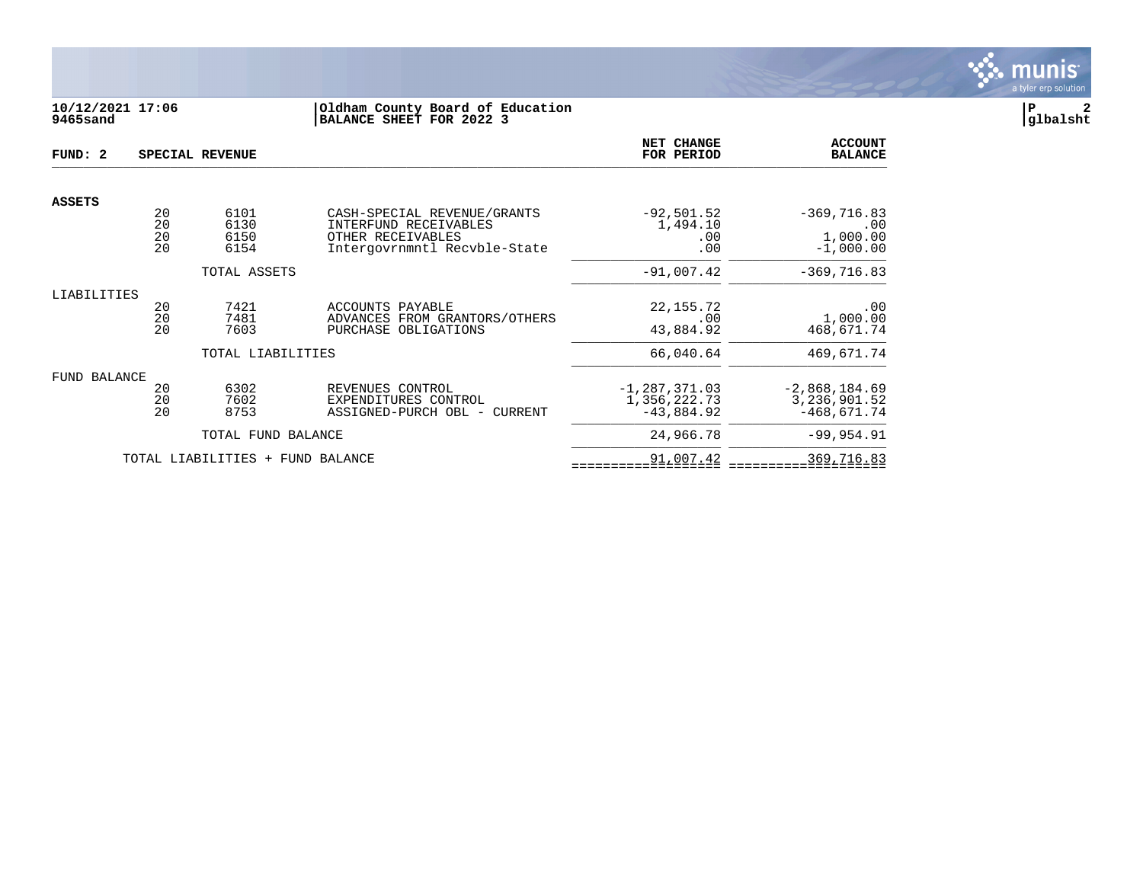

# **10/12/2021 17:06 |Oldham County Board of Education |P 2 9465sand |BALANCE SHEET FOR 2022 3 |glbalsht**

| FUND: 2             |                      | SPECIAL REVENUE                  |                                                                                                           | <b>NET CHANGE</b><br>FOR PERIOD                   | <b>ACCOUNT</b><br><b>BALANCE</b>                 |
|---------------------|----------------------|----------------------------------|-----------------------------------------------------------------------------------------------------------|---------------------------------------------------|--------------------------------------------------|
| <b>ASSETS</b>       |                      |                                  |                                                                                                           |                                                   |                                                  |
|                     | 20<br>20<br>20<br>20 | 6101<br>6130<br>6150<br>6154     | CASH-SPECIAL REVENUE/GRANTS<br>INTERFUND RECEIVABLES<br>OTHER RECEIVABLES<br>Intergovrnmntl Recvble-State | $-92,501.52$<br>1,494.10<br>.00<br>.00            | $-369,716.83$<br>.00<br>1,000.00<br>$-1,000.00$  |
| TOTAL ASSETS        |                      |                                  |                                                                                                           | $-91,007.42$                                      | $-369,716.83$                                    |
| LIABILITIES         | 20<br>20<br>20       | 7421<br>7481<br>7603             | ACCOUNTS PAYABLE<br>ADVANCES FROM GRANTORS/OTHERS<br>PURCHASE OBLIGATIONS                                 | 22, 155. 72<br>.00<br>43,884.92                   | .00<br>1,000.00<br>468,671.74                    |
|                     |                      | TOTAL LIABILITIES                |                                                                                                           | 66,040.64                                         | 469,671.74                                       |
| <b>FUND BALANCE</b> | 20<br>20<br>20       | 6302<br>7602<br>8753             | REVENUES CONTROL<br>EXPENDITURES CONTROL<br>ASSIGNED-PURCH OBL - CURRENT                                  | $-1, 287, 371.03$<br>1,356,222.73<br>$-43,884.92$ | $-2,868,184.69$<br>3,236,901.52<br>$-468,671.74$ |
|                     |                      | TOTAL FUND BALANCE               |                                                                                                           | 24,966.78                                         | $-99, 954.91$                                    |
|                     |                      | TOTAL LIABILITIES + FUND BALANCE |                                                                                                           | 91,007.42                                         | 369,716.83                                       |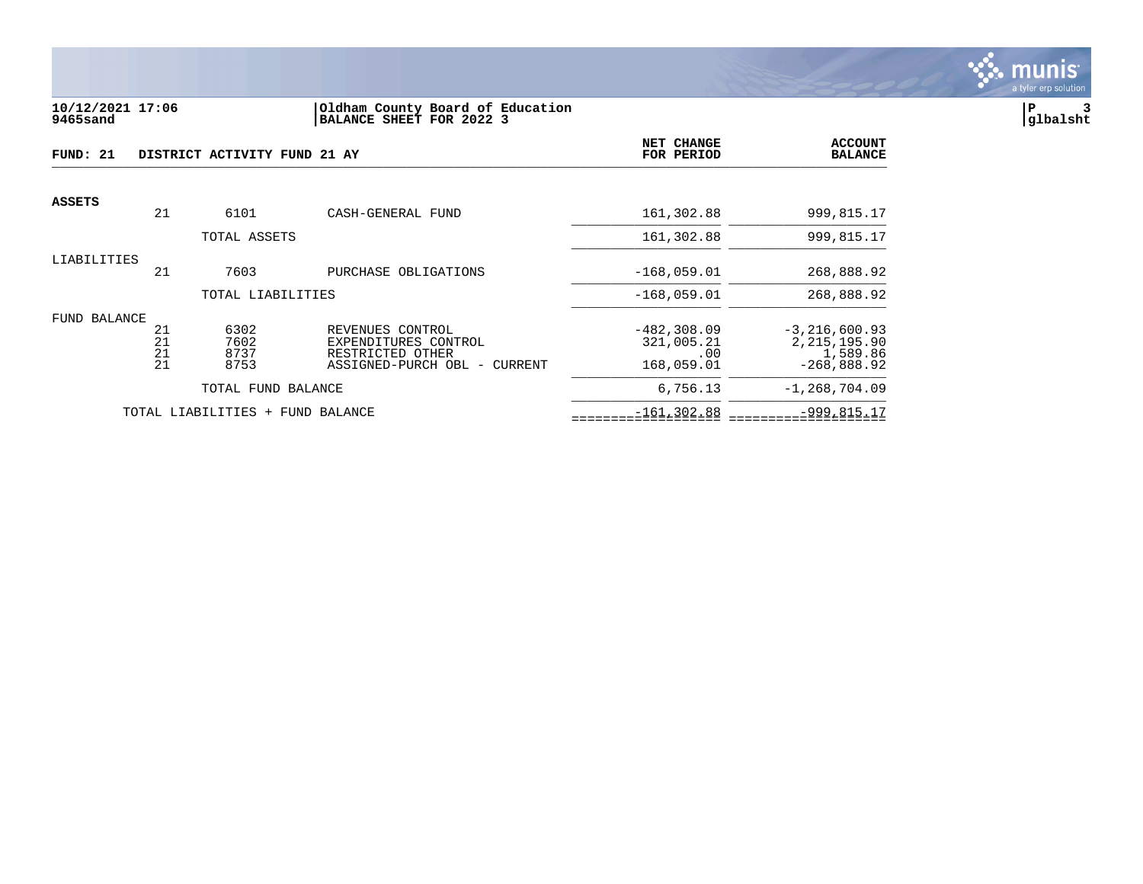

#### **10/12/2021 17:06 |Oldham County Board of Education |P 3 9465sand |BALANCE SHEET FOR 2022 3 |glbalsht**

| FUND: 21      |          | DISTRICT ACTIVITY FUND 21 AY |                                          | NET CHANGE<br>FOR PERIOD     | <b>ACCOUNT</b><br><b>BALANCE</b>    |
|---------------|----------|------------------------------|------------------------------------------|------------------------------|-------------------------------------|
| <b>ASSETS</b> | 21       | 6101                         | CASH-GENERAL FUND                        | 161,302.88                   | 999,815.17                          |
|               |          |                              |                                          |                              |                                     |
|               |          | TOTAL ASSETS                 |                                          | 161,302.88                   | 999,815.17                          |
| LIABILITIES   |          |                              |                                          |                              |                                     |
|               | 21       | 7603                         | PURCHASE OBLIGATIONS                     | $-168,059.01$                | 268,888.92                          |
|               |          | TOTAL LIABILITIES            |                                          | $-168,059.01$                | 268,888.92                          |
| FUND BALANCE  |          |                              |                                          |                              |                                     |
|               | 21<br>21 | 6302<br>7602                 | REVENUES CONTROL<br>EXPENDITURES CONTROL | $-482, 308.09$<br>321,005.21 | $-3, 216, 600.93$<br>2, 215, 195.90 |
|               | 21       | 8737                         | RESTRICTED OTHER                         | .00                          | 1,589.86                            |
|               | 21       | 8753                         | ASSIGNED-PURCH OBL - CURRENT             | 168,059.01                   | $-268,888.92$                       |
|               |          | TOTAL FUND BALANCE           |                                          | 6,756.13                     | $-1, 268, 704.09$                   |
|               |          | TOTAL LIABILITIES<br>$+$     | FUND BALANCE                             | $-161, 302.88$               | $-999, 815.17$                      |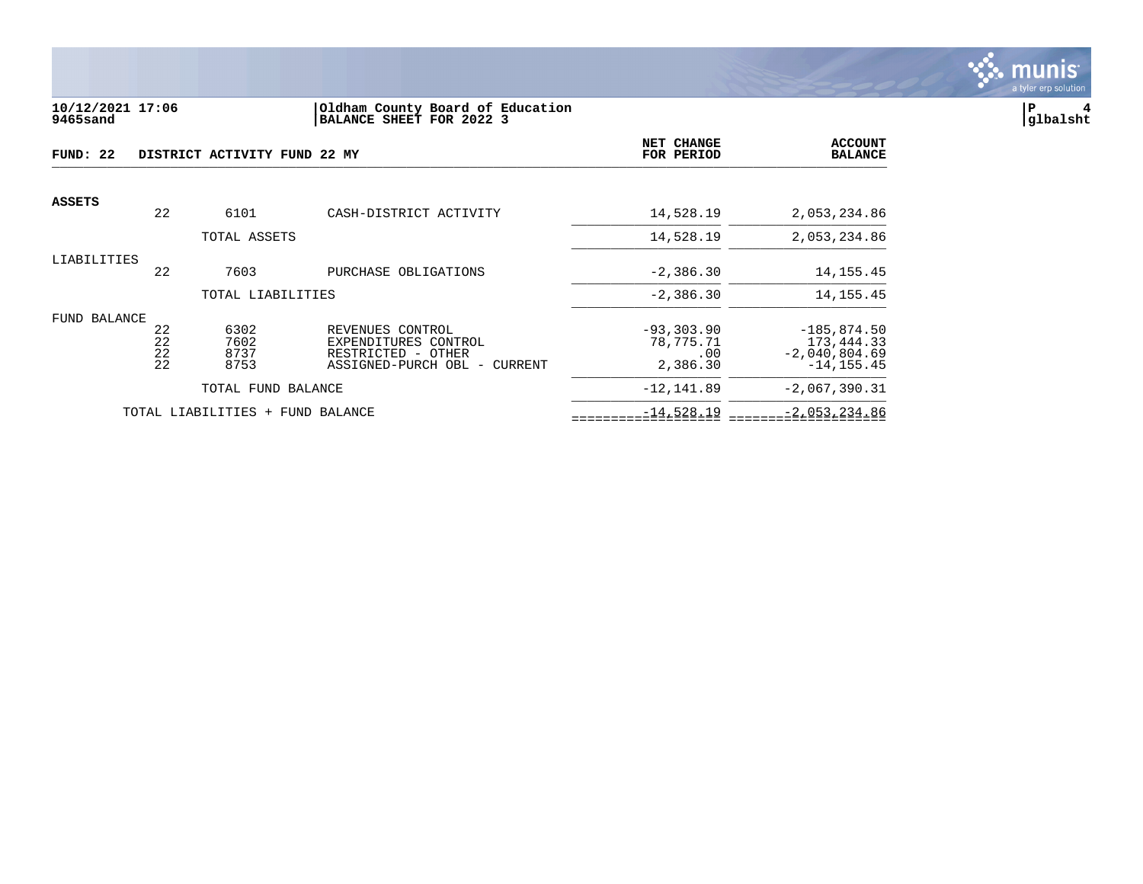

#### **10/12/2021 17:06 |Oldham County Board of Education |P 4 9465sand |BALANCE SHEET FOR 2022 3 |glbalsht**

| FUND: 22      |          | DISTRICT ACTIVITY FUND 22 MY |                                          | <b>NET CHANGE</b><br>FOR PERIOD | <b>ACCOUNT</b><br><b>BALANCE</b> |
|---------------|----------|------------------------------|------------------------------------------|---------------------------------|----------------------------------|
| <b>ASSETS</b> |          |                              |                                          |                                 |                                  |
|               | 22       | 6101                         | CASH-DISTRICT ACTIVITY                   | 14,528.19                       | 2,053,234.86                     |
|               |          | TOTAL ASSETS                 |                                          | 14,528.19                       | 2,053,234.86                     |
| LIABILITIES   |          |                              |                                          |                                 |                                  |
|               | 22       | 7603                         | PURCHASE OBLIGATIONS                     | $-2,386.30$                     | 14, 155. 45                      |
|               |          | TOTAL LIABILITIES            |                                          | $-2,386.30$                     | 14, 155. 45                      |
| FUND BALANCE  |          |                              |                                          |                                 |                                  |
|               | 22<br>22 | 6302<br>7602                 | REVENUES CONTROL<br>EXPENDITURES CONTROL | $-93, 303, 90$<br>78,775.71     | $-185, 874.50$<br>173,444.33     |
|               | 22       | 8737                         | RESTRICTED - OTHER                       | .00                             | $-2,040,804.69$                  |
|               | 22       | 8753                         | ASSIGNED-PURCH OBL - CURRENT             | 2,386.30                        | $-14.155.45$                     |
|               |          | TOTAL FUND BALANCE           |                                          | $-12, 141.89$                   | $-2,067,390.31$                  |
|               |          | TOTAL LIABILITIES            | + FUND BALANCE                           | $-14,528.19$                    | $-2,053,234.86$                  |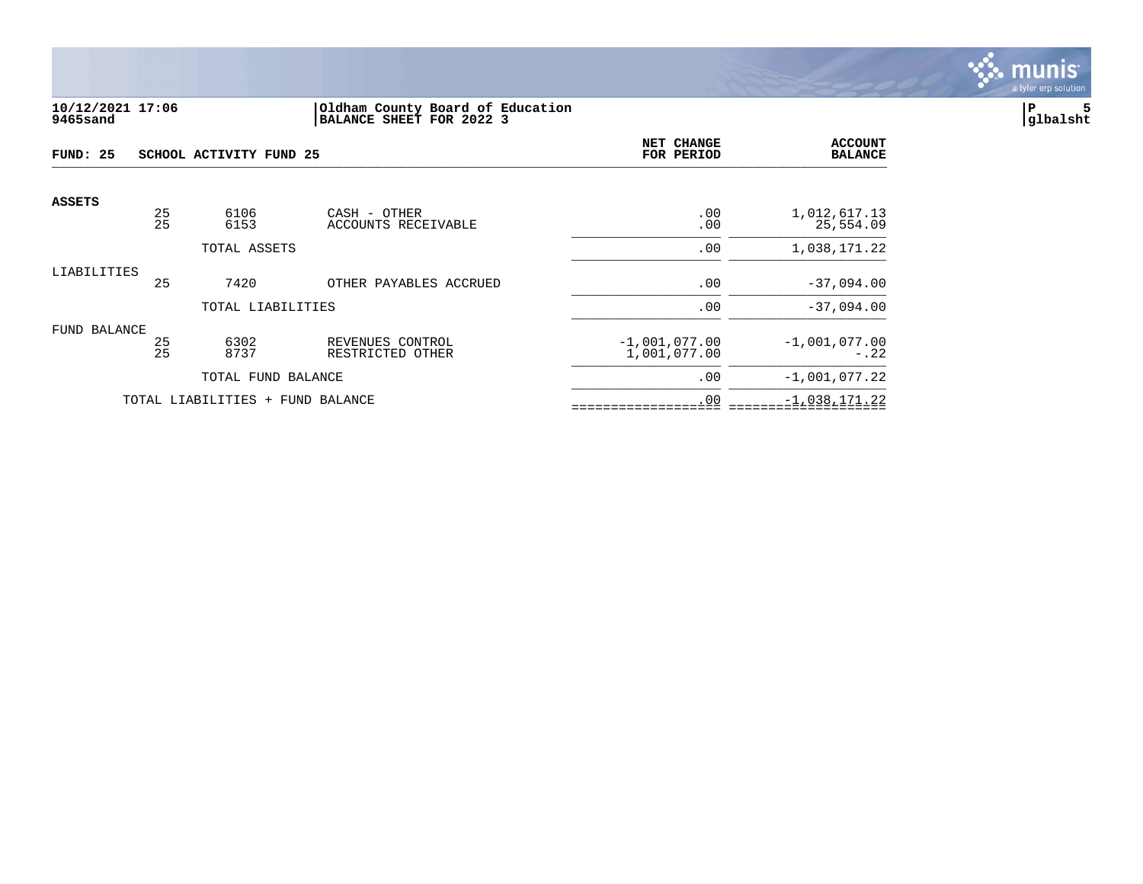

#### **10/12/2021 17:06 |Oldham County Board of Education |P 5 9465sand |BALANCE SHEET FOR 2022 3 |glbalsht**

| FUND: 25      |          | SCHOOL ACTIVITY FUND 25          | NET CHANGE<br>FOR PERIOD             | <b>ACCOUNT</b><br><b>BALANCE</b> |                           |
|---------------|----------|----------------------------------|--------------------------------------|----------------------------------|---------------------------|
| <b>ASSETS</b> |          |                                  |                                      |                                  |                           |
|               | 25<br>25 | 6106<br>6153                     | CASH - OTHER<br>ACCOUNTS RECEIVABLE  | .00<br>.00                       | 1,012,617.13<br>25,554.09 |
|               |          | TOTAL ASSETS                     |                                      | .00                              | 1,038,171.22              |
| LIABILITIES   | 25       | 7420                             | OTHER PAYABLES ACCRUED               | .00                              | $-37,094.00$              |
|               |          | TOTAL LIABILITIES                |                                      | .00                              | $-37,094.00$              |
| FUND BALANCE  |          |                                  |                                      |                                  |                           |
|               | 25<br>25 | 6302<br>8737                     | REVENUES CONTROL<br>RESTRICTED OTHER | $-1,001,077.00$<br>1,001,077.00  | $-1,001,077.00$<br>$-.22$ |
|               |          | TOTAL FUND BALANCE               |                                      | .00                              | $-1,001,077.22$           |
|               |          | TOTAL LIABILITIES + FUND BALANCE |                                      | .00                              | $-1,038,171.22$           |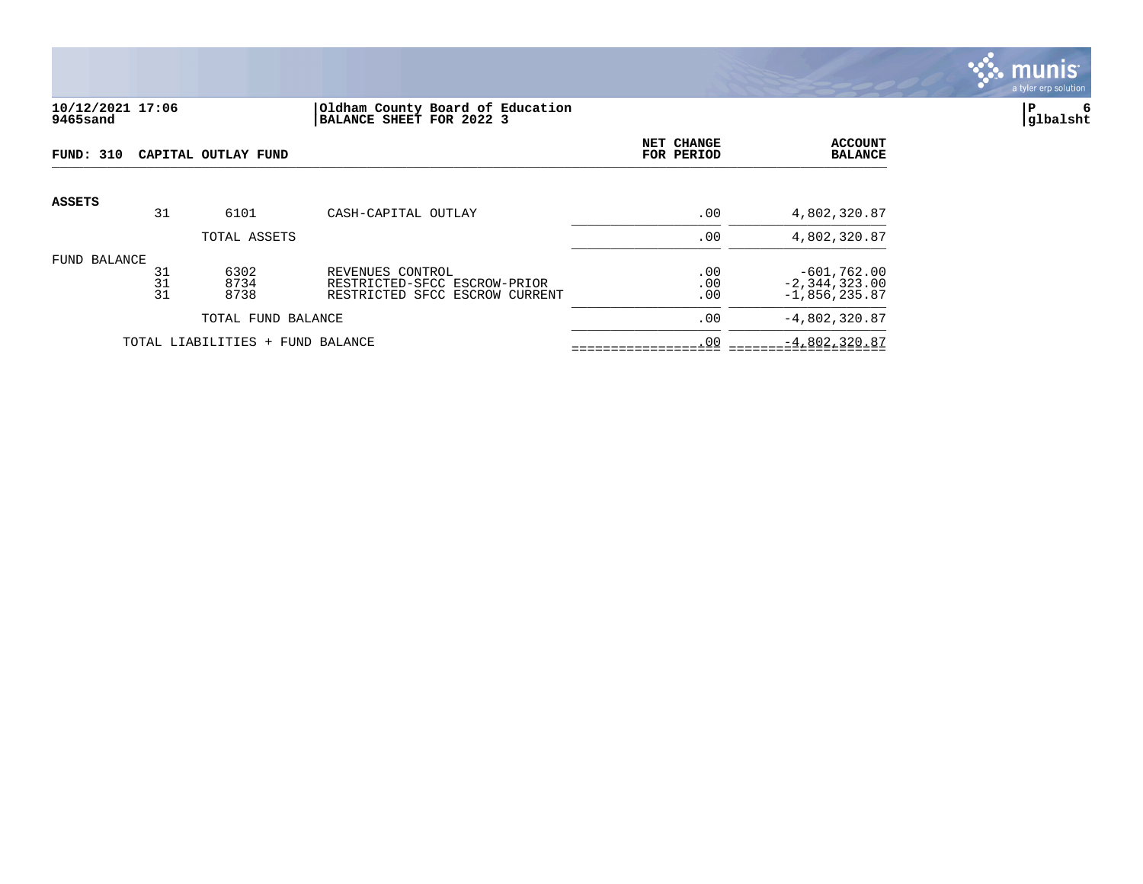

# **10/12/2021 17:06 |Oldham County Board of Education |P 6 9465sand |BALANCE SHEET FOR 2022 3 |glbalsht**

| <b>FUND: 310</b> |                | CAPITAL OUTLAY FUND              | NET CHANGE<br>FOR PERIOD                                                           | <b>ACCOUNT</b><br><b>BALANCE</b> |                                                       |
|------------------|----------------|----------------------------------|------------------------------------------------------------------------------------|----------------------------------|-------------------------------------------------------|
| <b>ASSETS</b>    | 31             | 6101                             | CASH-CAPITAL OUTLAY                                                                | .00                              | 4,802,320.87                                          |
|                  |                | TOTAL ASSETS                     |                                                                                    | .00                              | 4,802,320.87                                          |
| FUND BALANCE     | 31<br>31<br>31 | 6302<br>8734<br>8738             | REVENUES CONTROL<br>RESTRICTED-SFCC ESCROW-PRIOR<br>RESTRICTED SFCC ESCROW CURRENT | .00<br>.00<br>.00                | $-601,762.00$<br>$-2, 344, 323.00$<br>$-1,856,235.87$ |
|                  |                | TOTAL FUND BALANCE               |                                                                                    | .00                              | $-4,802,320.87$                                       |
|                  |                | TOTAL LIABILITIES + FUND BALANCE |                                                                                    | .00                              | $-4,802,320.87$                                       |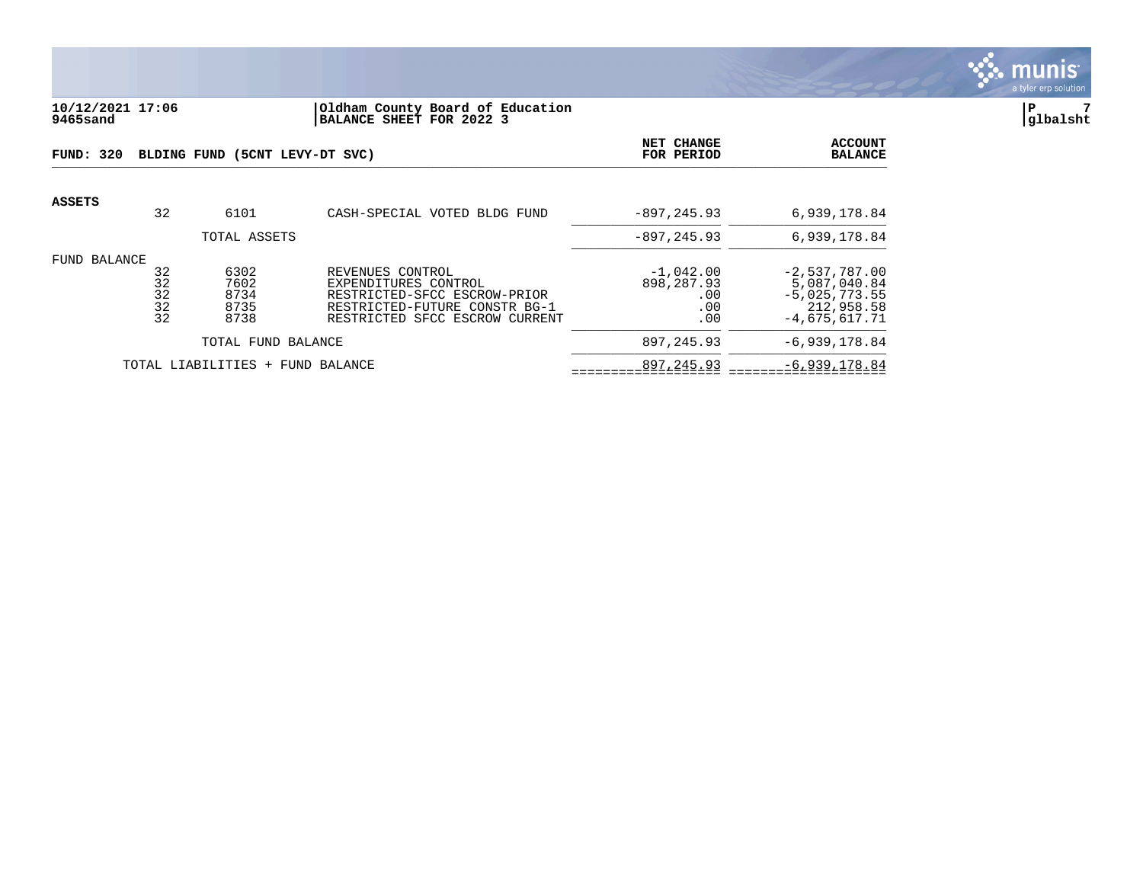

# **10/12/2021 17:06 |Oldham County Board of Education |P 7 9465sand |BALANCE SHEET FOR 2022 3 |glbalsht**

| FUND: 320    |                            | BLDING FUND (5CNT LEVY-DT SVC)       | NET CHANGE<br>FOR PERIOD                                                                                                                    | <b>ACCOUNT</b><br><b>BALANCE</b>               |                                                                                     |
|--------------|----------------------------|--------------------------------------|---------------------------------------------------------------------------------------------------------------------------------------------|------------------------------------------------|-------------------------------------------------------------------------------------|
| ASSETS       | 32                         | 6101                                 | CASH-SPECIAL VOTED BLDG FUND                                                                                                                | $-897, 245.93$                                 | 6,939,178.84                                                                        |
|              |                            | TOTAL ASSETS                         |                                                                                                                                             | $-897.245.93$                                  | 6,939,178.84                                                                        |
| FUND BALANCE | 32<br>32<br>32<br>32<br>32 | 6302<br>7602<br>8734<br>8735<br>8738 | REVENUES CONTROL<br>EXPENDITURES CONTROL<br>RESTRICTED-SFCC ESCROW-PRIOR<br>RESTRICTED-FUTURE CONSTR BG-1<br>RESTRICTED SFCC ESCROW CURRENT | $-1,042.00$<br>898,287.93<br>.00<br>.00<br>.00 | $-2,537,787.00$<br>5,087,040.84<br>$-5,025,773.55$<br>212,958.58<br>$-4,675,617.71$ |
|              |                            | TOTAL FUND BALANCE                   |                                                                                                                                             | 897, 245.93                                    | $-6,939,178.84$                                                                     |
|              |                            | TOTAL LIABILITIES + FUND BALANCE     |                                                                                                                                             | 897,245.93                                     | $-6,939,178.84$                                                                     |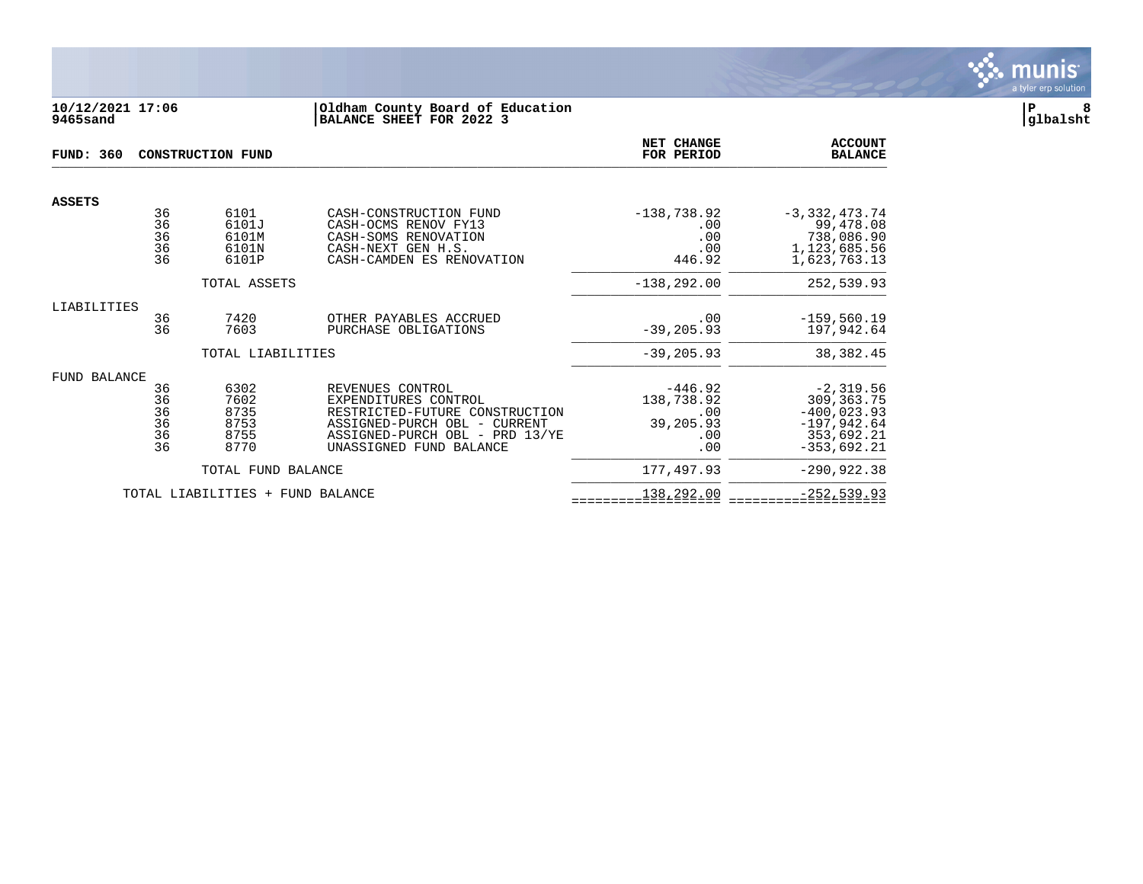

#### **10/12/2021 17:06 |Oldham County Board of Education |P 8 9465sand |BALANCE SHEET FOR 2022 3 |glbalsht**

| <b>FUND: 360</b> |                                  | <b>CONSTRUCTION FUND</b>                     | NET CHANGE<br>FOR PERIOD                                                                                                                                                | <b>ACCOUNT</b><br><b>BALANCE</b>                          |                                                                                              |
|------------------|----------------------------------|----------------------------------------------|-------------------------------------------------------------------------------------------------------------------------------------------------------------------------|-----------------------------------------------------------|----------------------------------------------------------------------------------------------|
|                  |                                  |                                              |                                                                                                                                                                         |                                                           |                                                                                              |
| <b>ASSETS</b>    | 36<br>36<br>36<br>36<br>36       | 6101<br>6101J<br>6101M<br>6101N<br>6101P     | CASH-CONSTRUCTION FUND<br>CASH-OCMS RENOV FY13<br>CASH-SOMS RENOVATION<br>CASH-NEXT GEN H.S.<br>CASH-CAMDEN ES RENOVATION                                               | $-138,738.92$<br>.00<br>.00<br>.00<br>446.92              | $-3,332,473.74$<br>99,478.08<br>738,086.90<br>1,123,685.56<br>1,623,763.13                   |
|                  |                                  | TOTAL ASSETS                                 |                                                                                                                                                                         | $-138, 292.00$                                            | 252,539.93                                                                                   |
| LIABILITIES      | 36<br>36                         | 7420<br>7603                                 | OTHER PAYABLES ACCRUED<br>PURCHASE OBLIGATIONS                                                                                                                          | .00<br>$-39, 205.93$                                      | $-159,560.19$<br>197,942.64                                                                  |
|                  |                                  | TOTAL LIABILITIES                            |                                                                                                                                                                         | $-39, 205.93$                                             | 38, 382.45                                                                                   |
| FUND BALANCE     | 36<br>36<br>36<br>36<br>36<br>36 | 6302<br>7602<br>8735<br>8753<br>8755<br>8770 | REVENUES CONTROL<br>EXPENDITURES CONTROL<br>RESTRICTED-FUTURE CONSTRUCTION<br>ASSIGNED-PURCH OBL - CURRENT<br>ASSIGNED-PURCH OBL - PRD 13/YE<br>UNASSIGNED FUND BALANCE | $-446.92$<br>138,738.92<br>.00<br>39,205.93<br>.00<br>.00 | $-2,319.56$<br>309, 363. 75<br>$-400,023.93$<br>$-197,942.64$<br>353,692.21<br>$-353,692.21$ |
|                  |                                  | TOTAL FUND BALANCE                           |                                                                                                                                                                         | 177,497.93                                                | $-290,922.38$                                                                                |
|                  |                                  | TOTAL LIABILITIES<br>$+$                     | FUND BALANCE                                                                                                                                                            | 138,292.00                                                | $-252,539.93$                                                                                |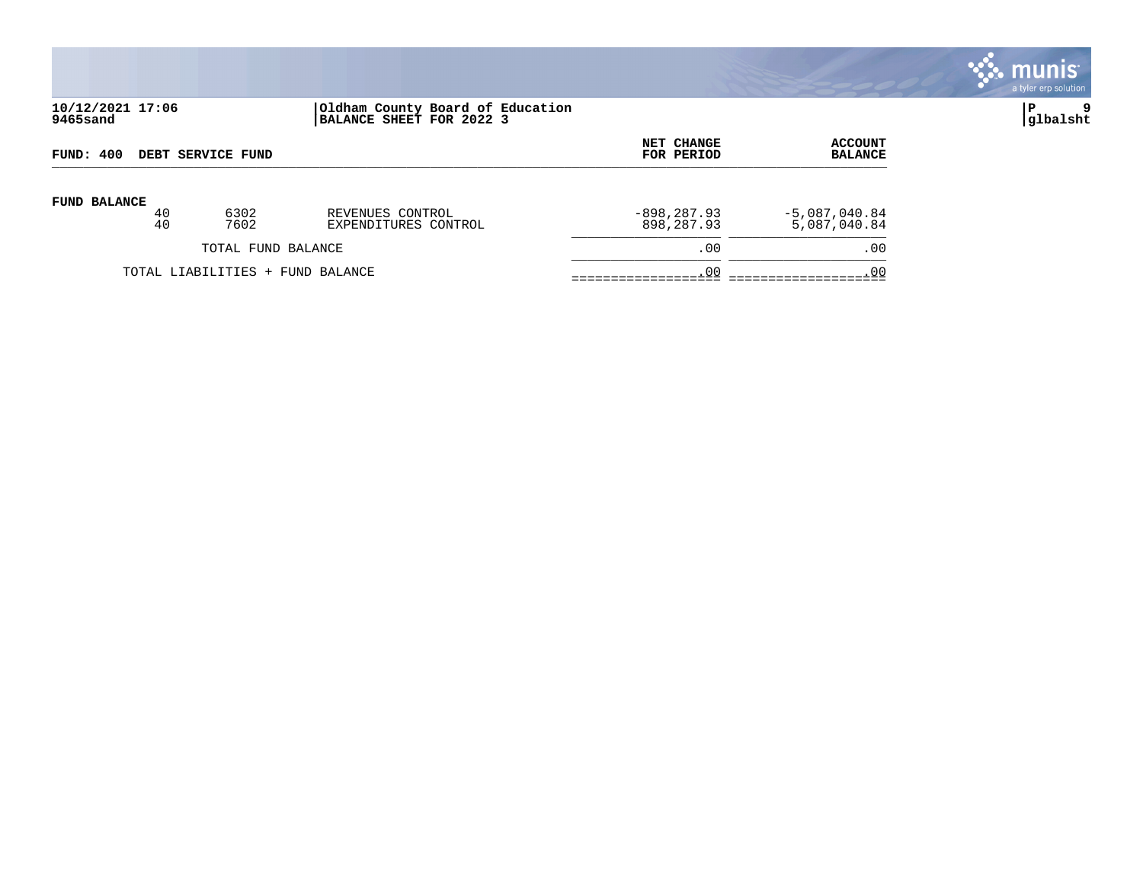

# **10/12/2021 17:06 |Oldham County Board of Education |P 9 9465sand |BALANCE SHEET FOR 2022 3 |glbalsht**

| FUND: 400                        |          | DEBT SERVICE FUND  | <b>NET CHANGE</b><br>FOR PERIOD          | <b>ACCOUNT</b><br><b>BALANCE</b> |                                 |
|----------------------------------|----------|--------------------|------------------------------------------|----------------------------------|---------------------------------|
| <b>FUND BALANCE</b>              | 40<br>40 | 6302<br>7602       | REVENUES CONTROL<br>EXPENDITURES CONTROL | $-898, 287.93$<br>898,287.93     | $-5,087,040.84$<br>5,087,040.84 |
|                                  |          | TOTAL FUND BALANCE |                                          | .00                              | .00                             |
| TOTAL LIABILITIES + FUND BALANCE |          |                    |                                          | .00                              | .00                             |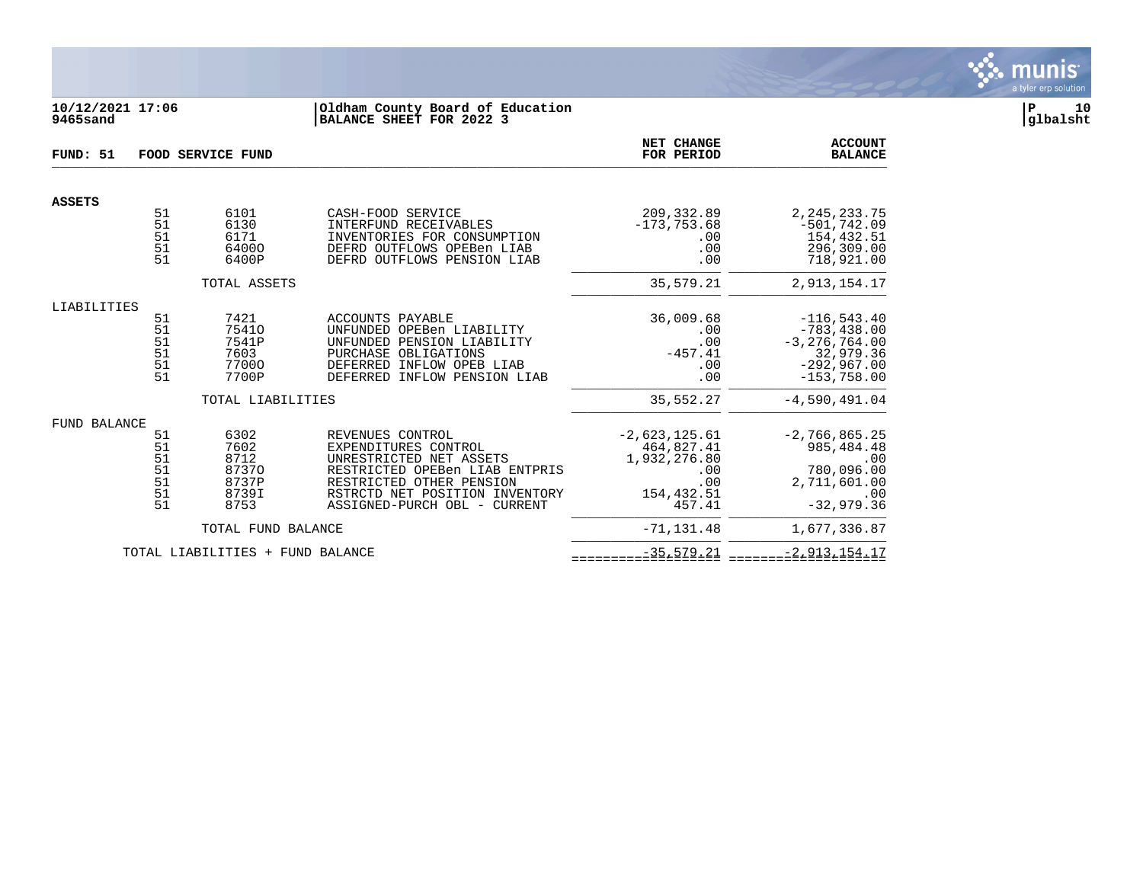

# **10/12/2021 17:06 |Oldham County Board of Education |P 10 9465sand |BALANCE SHEET FOR 2022 3 |glbalsht**

| FUND: 51            | FOOD SERVICE FUND                      |                                                         |                                                                                                                                                                                                     |                                                                                     | <b>ACCOUNT</b><br><b>BALANCE</b>                                                                    |
|---------------------|----------------------------------------|---------------------------------------------------------|-----------------------------------------------------------------------------------------------------------------------------------------------------------------------------------------------------|-------------------------------------------------------------------------------------|-----------------------------------------------------------------------------------------------------|
| <b>ASSETS</b>       |                                        |                                                         |                                                                                                                                                                                                     |                                                                                     |                                                                                                     |
|                     | 51<br>51<br>51<br>51<br>51             | 6101<br>6130<br>6171<br>64000<br>6400P                  | CASH-FOOD SERVICE<br>INTERFUND RECEIVABLES<br>INVENTORIES FOR CONSUMPTION<br>DEFRD OUTFLOWS OPEBen LIAB<br>DEFRD OUTFLOWS PENSION LIAB                                                              | 209, 332.89<br>$-173, 753.68$<br>.00<br>.00<br>.00                                  | 2, 245, 233. 75<br>$-501,742.09$<br>154,432.51<br>296,309.00<br>718,921.00                          |
|                     |                                        | TOTAL ASSETS                                            |                                                                                                                                                                                                     | 35,579.21                                                                           | 2,913,154.17                                                                                        |
| LIABILITIES         |                                        |                                                         |                                                                                                                                                                                                     |                                                                                     |                                                                                                     |
|                     | 51<br>51<br>51<br>51<br>51<br>51       | 7421<br>75410<br>7541P<br>7603<br>77000<br>7700P        | ACCOUNTS PAYABLE<br>UNFUNDED OPEBen LIABILITY<br>UNFUNDED PENSION LIABILITY<br>PURCHASE OBLIGATIONS<br>DEFERRED INFLOW OPEB LIAB<br>DEFERRED INFLOW PENSION LIAB                                    | 36,009.68<br>.00<br>.00<br>$-457.41$<br>.00<br>.00                                  | $-116,543.40$<br>$-783, 438.00$<br>$-3, 276, 764.00$<br>32,979.36<br>$-292,967.00$<br>$-153,758.00$ |
|                     |                                        | TOTAL LIABILITIES                                       |                                                                                                                                                                                                     | 35,552.27                                                                           | $-4,590,491.04$                                                                                     |
| <b>FUND BALANCE</b> | 51<br>51<br>51<br>51<br>51<br>51<br>51 | 6302<br>7602<br>8712<br>87370<br>8737P<br>8739I<br>8753 | REVENUES CONTROL<br>EXPENDITURES CONTROL<br>UNRESTRICTED NET ASSETS<br>RESTRICTED OPEBen LIAB ENTPRIS<br>RESTRICTED OTHER PENSION<br>RSTRCTD NET POSITION INVENTORY<br>ASSIGNED-PURCH OBL - CURRENT | $-2,623,125.61$<br>464,827.41<br>1,932,276.80<br>.00<br>.00<br>154,432.51<br>457.41 | $-2,766,865.25$<br>985, 484. 48<br>.00<br>780,096.00<br>2,711,601.00<br>.00<br>$-32,979.36$         |
|                     |                                        | TOTAL FUND BALANCE                                      |                                                                                                                                                                                                     | $-71, 131.48$                                                                       | 1,677,336.87                                                                                        |
|                     |                                        | TOTAL LIABILITIES + FUND BALANCE                        |                                                                                                                                                                                                     | $-35, 579.21$                                                                       | $-2,913,154.17$                                                                                     |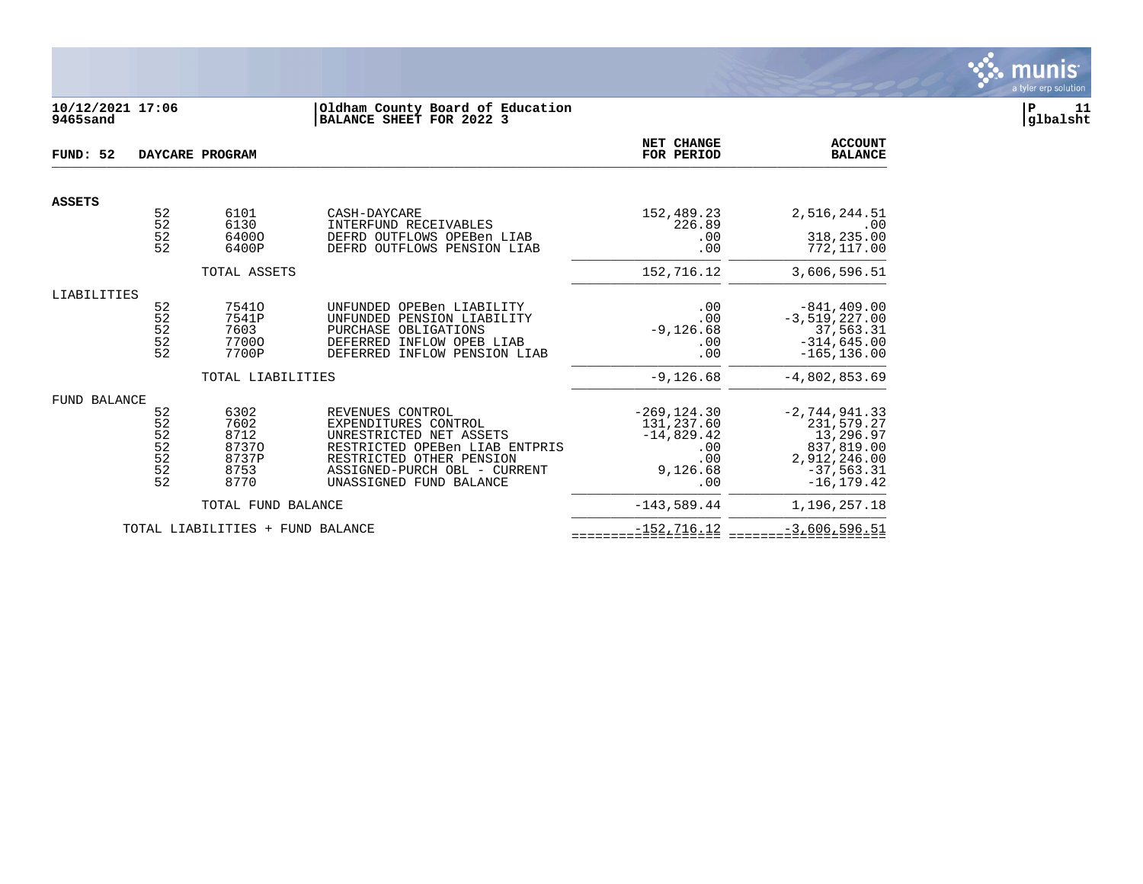

# **10/12/2021 17:06 |Oldham County Board of Education |P 11 9465sand |BALANCE SHEET FOR 2022 3 |glbalsht**

| FUND: 52      |                                        | DAYCARE PROGRAM                                        |                                                                                                                                                                                              | NET CHANGE<br>FOR PERIOD                                                      | <b>ACCOUNT</b><br><b>BALANCE</b>                                                                         |
|---------------|----------------------------------------|--------------------------------------------------------|----------------------------------------------------------------------------------------------------------------------------------------------------------------------------------------------|-------------------------------------------------------------------------------|----------------------------------------------------------------------------------------------------------|
| <b>ASSETS</b> |                                        |                                                        |                                                                                                                                                                                              |                                                                               |                                                                                                          |
|               | 52<br>$\overline{52}$<br>52<br>52      | 6101<br>6130<br>64000<br>6400P                         | CASH-DAYCARE<br>INTERFUND RECEIVABLES<br>DEFRD OUTFLOWS OPEBen LIAB<br>DEFRD OUTFLOWS PENSION LIAB                                                                                           | 152,489.23<br>226.89<br>.00<br>.00                                            | 2,516,244.51<br>.00<br>318,235.00<br>772,117.00                                                          |
|               |                                        | TOTAL ASSETS                                           |                                                                                                                                                                                              | 152,716.12                                                                    | 3,606,596.51                                                                                             |
| LIABILITIES   | 52<br>52<br>52<br>52<br>52             | 75410<br>7541P<br>7603<br>77000<br>7700P               | UNFUNDED OPEBen LIABILITY<br>UNFUNDED PENSION LIABILITY<br>PURCHASE OBLIGATIONS<br>DEFERRED INFLOW OPEB LIAB<br>DEFERRED INFLOW PENSION LIAB                                                 | .00<br>.00<br>$-9,126.68$<br>.00<br>.00                                       | $-841, 409.00$<br>$-3,519,227.00$<br>37,563.31<br>$-314,645.00$<br>$-165, 136.00$                        |
|               |                                        | TOTAL LIABILITIES                                      |                                                                                                                                                                                              | $-9, 126.68$                                                                  | $-4,802,853.69$                                                                                          |
| FUND BALANCE  | 52<br>52<br>52<br>52<br>52<br>52<br>52 | 6302<br>7602<br>8712<br>87370<br>8737P<br>8753<br>8770 | REVENUES CONTROL<br>EXPENDITURES CONTROL<br>UNRESTRICTED NET ASSETS<br>RESTRICTED OPEBen LIAB ENTPRIS<br>RESTRICTED OTHER PENSION<br>ASSIGNED-PURCH OBL - CURRENT<br>UNASSIGNED FUND BALANCE | $-269, 124.30$<br>131,237.60<br>$-14,829.42$<br>.00<br>.00<br>9,126.68<br>.00 | $-2,744,941.33$<br>231,579.27<br>13,296.97<br>837,819.00<br>2,912,246.00<br>$-37,563.31$<br>$-16.179.42$ |
|               |                                        | TOTAL FUND BALANCE                                     |                                                                                                                                                                                              | $-143,589.44$                                                                 | 1,196,257.18                                                                                             |
|               |                                        | TOTAL LIABILITIES + FUND BALANCE                       |                                                                                                                                                                                              | $-152, 716.12$                                                                | $-3,606,596.51$                                                                                          |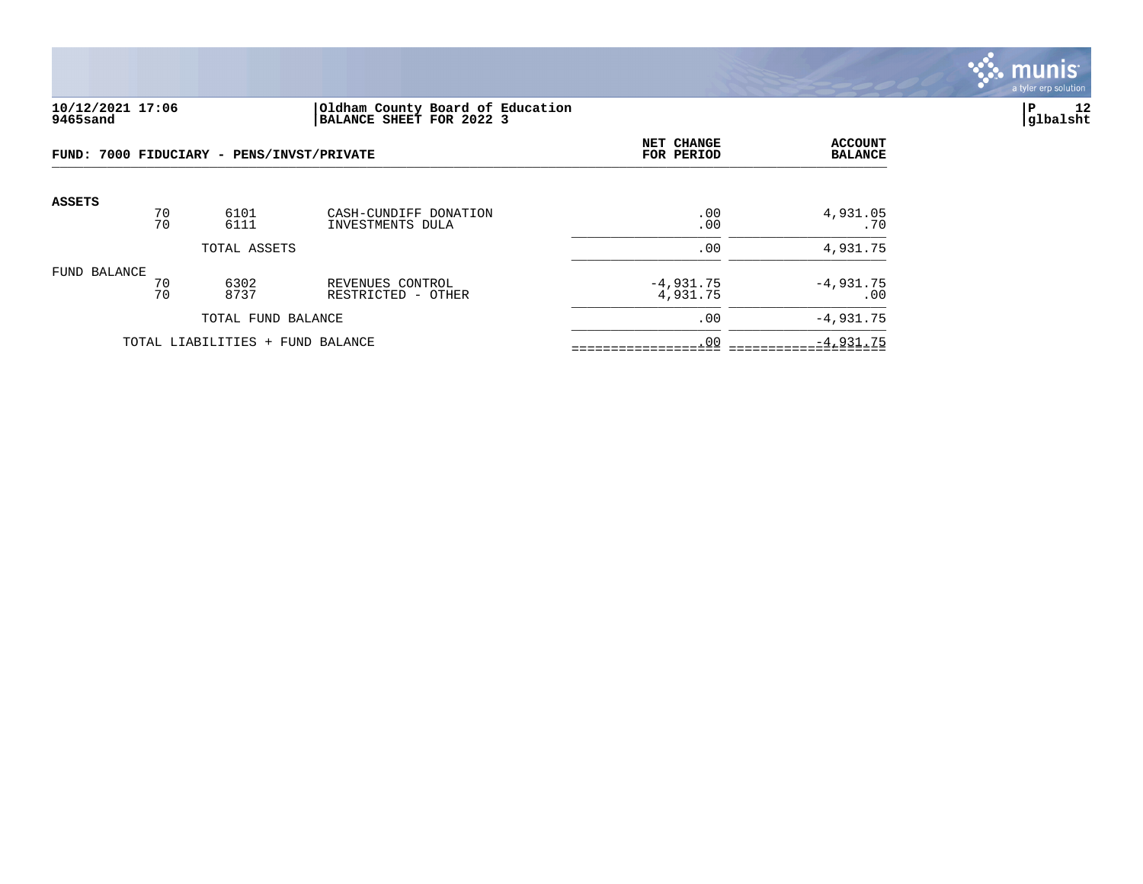

#### **10/12/2021 17:06 |Oldham County Board of Education |P 12 9465sand |BALANCE SHEET FOR 2022 3 |glbalsht**

| FUND: 7000 FIDUCIARY - PENS/INVST/PRIVATE |          |                                  |                                           | NET CHANGE<br>FOR PERIOD | <b>ACCOUNT</b><br><b>BALANCE</b> |
|-------------------------------------------|----------|----------------------------------|-------------------------------------------|--------------------------|----------------------------------|
| <b>ASSETS</b>                             | 70<br>70 | 6101<br>6111                     | CASH-CUNDIFF DONATION<br>INVESTMENTS DULA | .00<br>.00               | 4,931.05<br>.70                  |
|                                           |          | TOTAL ASSETS                     |                                           | .00                      | 4,931.75                         |
| FUND BALANCE                              | 70<br>70 | 6302<br>8737                     | REVENUES CONTROL<br>RESTRICTED - OTHER    | $-4,931.75$<br>4,931.75  | $-4,931.75$<br>.00               |
|                                           |          | TOTAL FUND BALANCE               |                                           | .00                      | $-4,931.75$                      |
|                                           |          | TOTAL LIABILITIES + FUND BALANCE |                                           | .00                      | $-4,931.75$                      |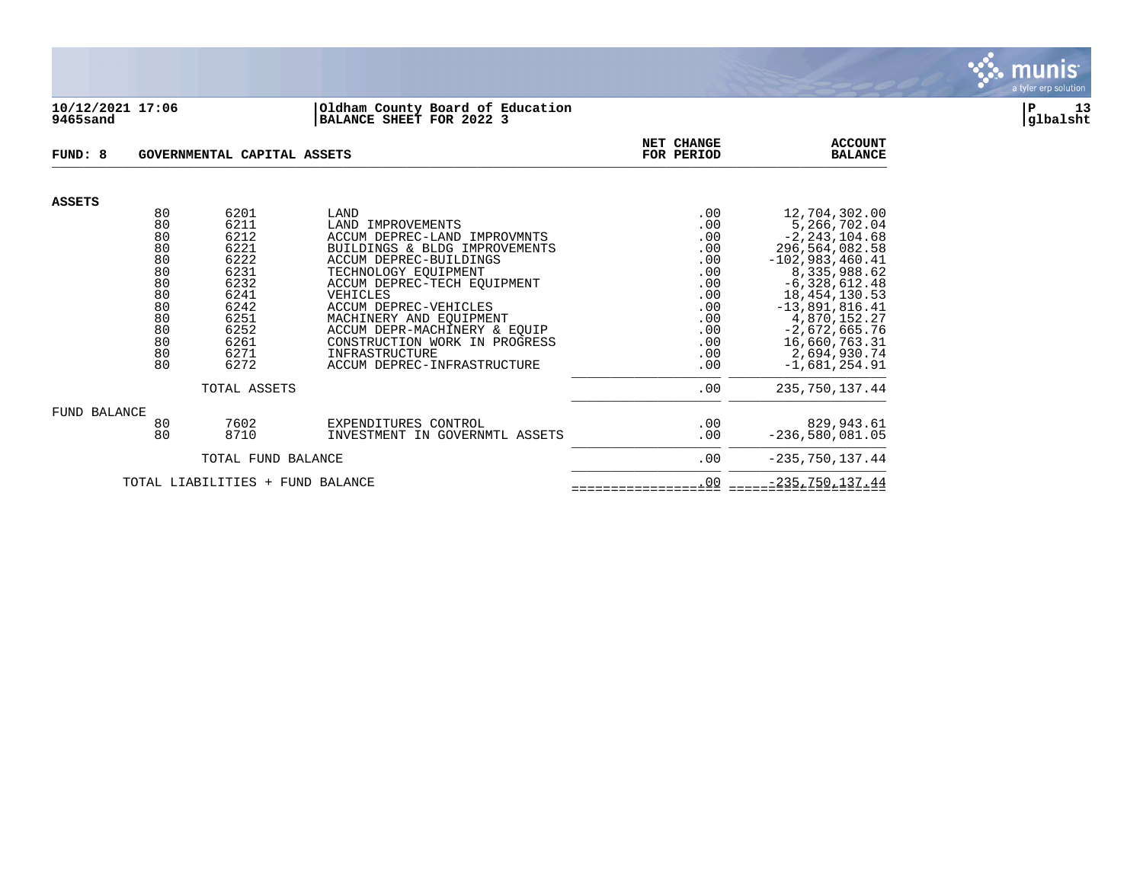

#### **10/12/2021 17:06 |Oldham County Board of Education |P 13 9465sand |BALANCE SHEET FOR 2022 3 |glbalsht**

| FUND: 8                          |                                                                      | GOVERNMENTAL CAPITAL ASSETS                                                                  | <b>NET CHANGE</b><br>FOR PERIOD                                                                                                                                                                                                                                                                              | <b>ACCOUNT</b><br><b>BALANCE</b>                                                 |                                                                                                                                                                                                                         |
|----------------------------------|----------------------------------------------------------------------|----------------------------------------------------------------------------------------------|--------------------------------------------------------------------------------------------------------------------------------------------------------------------------------------------------------------------------------------------------------------------------------------------------------------|----------------------------------------------------------------------------------|-------------------------------------------------------------------------------------------------------------------------------------------------------------------------------------------------------------------------|
| <b>ASSETS</b>                    |                                                                      |                                                                                              |                                                                                                                                                                                                                                                                                                              |                                                                                  |                                                                                                                                                                                                                         |
|                                  | 80<br>80<br>80<br>80<br>80<br>80<br>80<br>80<br>80<br>80<br>80<br>80 | 6201<br>6211<br>6212<br>6221<br>6222<br>6231<br>6232<br>6241<br>6242<br>6251<br>6252<br>6261 | LAND<br>LAND IMPROVEMENTS<br>ACCUM DEPREC-LAND IMPROVMNTS<br>BUILDINGS & BLDG IMPROVEMENTS<br>ACCUM DEPREC-BUILDINGS<br>TECHNOLOGY EOUIPMENT<br>ACCUM DEPREC-TECH EOUIPMENT<br>VEHICLES<br>ACCUM DEPREC-VEHICLES<br>MACHINERY AND EQUIPMENT<br>ACCUM DEPR-MACHINERY & EQUIP<br>CONSTRUCTION WORK IN PROGRESS | .00<br>.00<br>.00<br>.00<br>.00<br>.00<br>.00<br>.00<br>.00<br>.00<br>.00<br>.00 | 12,704,302.00<br>5,266,702.04<br>$-2, 243, 104.68$<br>296,564,082.58<br>$-102,983,460.41$<br>8,335,988.62<br>$-6,328,612.48$<br>18, 454, 130.53<br>$-13,891,816.41$<br>4,870,152.27<br>$-2,672,665.76$<br>16,660,763.31 |
|                                  | 80<br>80                                                             | 6271<br>6272                                                                                 | INFRASTRUCTURE<br>ACCUM DEPREC-INFRASTRUCTURE                                                                                                                                                                                                                                                                | .00<br>.00                                                                       | 2,694,930.74<br>$-1,681,254.91$                                                                                                                                                                                         |
|                                  |                                                                      | TOTAL ASSETS                                                                                 | .00                                                                                                                                                                                                                                                                                                          | 235,750,137.44                                                                   |                                                                                                                                                                                                                         |
| FUND BALANCE                     | 80<br>80                                                             | 7602<br>8710                                                                                 | EXPENDITURES CONTROL<br>INVESTMENT IN GOVERNMTL ASSETS                                                                                                                                                                                                                                                       | .00<br>.00                                                                       | 829,943.61<br>$-236,580,081.05$                                                                                                                                                                                         |
|                                  |                                                                      | TOTAL FUND BALANCE                                                                           | .00                                                                                                                                                                                                                                                                                                          | $-235,750,137.44$                                                                |                                                                                                                                                                                                                         |
| TOTAL LIABILITIES + FUND BALANCE |                                                                      |                                                                                              |                                                                                                                                                                                                                                                                                                              | .00                                                                              | $-235,750,137.44$                                                                                                                                                                                                       |